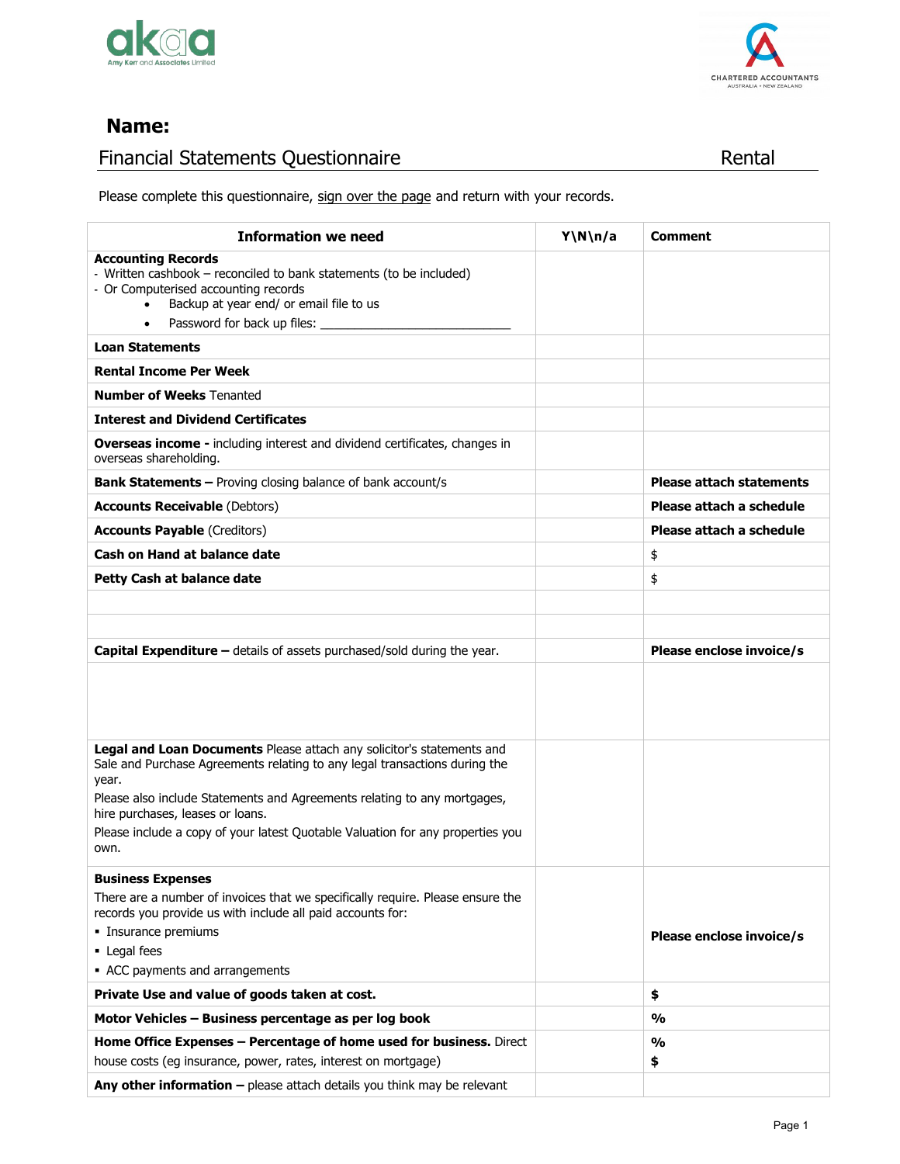



## **Name:**

# Financial Statements Questionnaire 5HQWDO en 1989 Rental

Please complete this questionnaire, sign over the page and return with your records.

| <b>Information we need</b>                                                                                                                                                                                                      | Y\N\n/a | Comment                         |
|---------------------------------------------------------------------------------------------------------------------------------------------------------------------------------------------------------------------------------|---------|---------------------------------|
| <b>Accounting Records</b><br>- Written cashbook – reconciled to bank statements (to be included)<br>- Or Computerised accounting records<br>Backup at year end/ or email file to us<br>Password for back up files:<br>$\bullet$ |         |                                 |
| <b>Loan Statements</b>                                                                                                                                                                                                          |         |                                 |
| <b>Rental Income Per Week</b>                                                                                                                                                                                                   |         |                                 |
| <b>Number of Weeks Tenanted</b>                                                                                                                                                                                                 |         |                                 |
| <b>Interest and Dividend Certificates</b>                                                                                                                                                                                       |         |                                 |
| <b>Overseas income - including interest and dividend certificates, changes in</b><br>overseas shareholding.                                                                                                                     |         |                                 |
| <b>Bank Statements - Proving closing balance of bank account/s</b>                                                                                                                                                              |         | <b>Please attach statements</b> |
| <b>Accounts Receivable (Debtors)</b>                                                                                                                                                                                            |         | Please attach a schedule        |
| <b>Accounts Payable (Creditors)</b>                                                                                                                                                                                             |         | Please attach a schedule        |
| <b>Cash on Hand at balance date</b>                                                                                                                                                                                             |         | \$                              |
| Petty Cash at balance date                                                                                                                                                                                                      |         | \$                              |
|                                                                                                                                                                                                                                 |         |                                 |
|                                                                                                                                                                                                                                 |         |                                 |
| <b>Capital Expenditure - details of assets purchased/sold during the year.</b>                                                                                                                                                  |         | Please enclose invoice/s        |
|                                                                                                                                                                                                                                 |         |                                 |
| Legal and Loan Documents Please attach any solicitor's statements and<br>Sale and Purchase Agreements relating to any legal transactions during the<br>year.                                                                    |         |                                 |
| Please also include Statements and Agreements relating to any mortgages,<br>hire purchases, leases or loans.                                                                                                                    |         |                                 |
| Please include a copy of your latest Quotable Valuation for any properties you<br>own.                                                                                                                                          |         |                                 |
| <b>Business Expenses</b>                                                                                                                                                                                                        |         |                                 |
| There are a number of invoices that we specifically require. Please ensure the<br>records you provide us with include all paid accounts for:                                                                                    |         |                                 |
| · Insurance premiums                                                                                                                                                                                                            |         | Please enclose invoice/s        |
| • Legal fees                                                                                                                                                                                                                    |         |                                 |
| • ACC payments and arrangements                                                                                                                                                                                                 |         |                                 |
| Private Use and value of goods taken at cost.                                                                                                                                                                                   |         | \$<br>$\frac{0}{0}$             |
| Motor Vehicles - Business percentage as per log book                                                                                                                                                                            |         |                                 |
| Home Office Expenses - Percentage of home used for business. Direct<br>house costs (eg insurance, power, rates, interest on mortgage)                                                                                           |         | %<br>\$                         |
| Any other information - please attach details you think may be relevant                                                                                                                                                         |         |                                 |